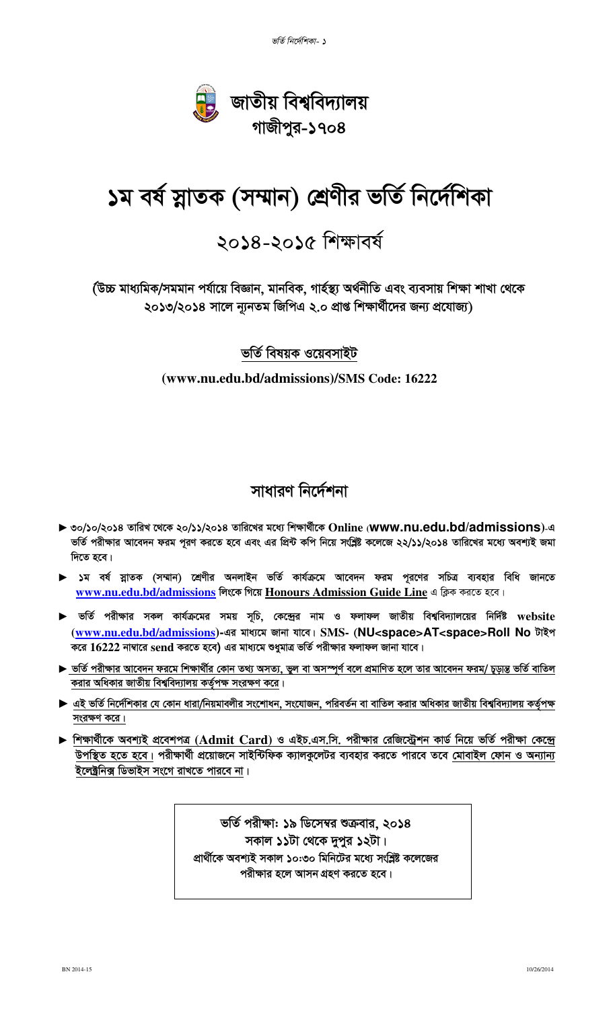

# <mark>১ম বৰ্ষ স্নাতক (সম্মান) শ্ৰেণীর ভৰ্তি নিৰ্দেশিকা</mark>

## ২০১৪-২০১৫ শিক্ষাবর্ষ

(উচ্চ মাধ্যমিক/সমমান পৰ্যায়ে বিজ্ঞান, মানবিক, গাৰ্হস্থ্য অৰ্থনীতি এবং ব্যবসায় শিক্ষা শাখা থেকে ২০১৩/২০১৪ সালে ন্যনতম জিপিএ ২.০ প্ৰাপ্ত শিক্ষাৰ্থীদের জন্য প্ৰযোজ্য)

#### **ভৰ্তি বিষয়ক ওয়েবসাইট**

#### **(www.nu.edu.bd/admissions)/SMS Code: 16222**

## সাধারণ নির্দেশনা

- $\blacktriangleright$  ৩০/১০/২০১৪ তারিখ থেকে ২০/১১/২০১৪ তারিখের মধ্যে শিক্ষার্থীকে Online (**www.nu.edu.bd/admissions**)-এ ভর্তি পরীক্ষার আবেদন ফরম পূরণ করতে হবে এবং এর প্রিন্ট কপি নিয়ে সংশ্লিষ্ট কলেজে ২২/১১/২০১৪ তারিখের মধ্যে অবশ্যই জমা **দিতে হবে।**
- ► ১ম বর্ষ স্নাতক (সম্মান) শ্রেণীর অনলাইন ভর্তি কার্যক্রমে আবেদন ফরম পূরণের সচিত্র ব্যবহার বিধি জানতে www.nu.edu.bd/admissions লিংকে গিয়ে Honours Admission Guide Line এ ক্লিক করতে হবে।
- ► ভর্তি পরীক্ষার সকল কার্যক্রমের সময় সূচি, কেন্দ্রের নাম ও ফলাফল জাতীয় বিশ্ববিদ্যালয়ের নির্দিষ্ট website (www.nu.edu.bd/admissions)-এর মাধ্যমে জানা যাবে। SMS- (NU<space>AT<space>Roll No টাইপ করে  $16222$  নাম্বারে send করতে হবে) এর মাধ্যমে শুধুমাত্র ভর্তি পরীক্ষার ফলাফল জানা যাবে।
- ► ভর্তি পরীক্ষার আবেদন ফরমে শিক্ষার্থীর কোন তথ্য অসত্য, ভুল বা অসস্পূর্ণ বলে প্রমাণিত হলে তার আবেদন ফরম/ চূড়ান্ত ভর্তি বাতিল করার অধিকার জাতীয় বিশ্ববিদ্যালয় কর্তৃপক্ষ সংরক্ষণ করে।
- ► এই ভর্তি নির্দেশিকার যে কোন ধারা/নিয়মাবলীর সংশোধন, সংযোজন, পরিবর্তন বা বাতিল করার অধিকার জাতীয় বিশ্ববিদ্যালয় কর্তৃপক্ষ সংরক্ষণ করে।
- $\blacktriangleright$  শিক্ষার্থীকে অবশ্যই প্রবেশপত্র (Admit Card) ও এইচ.এস.সি. পরীক্ষার রেজিস্ট্রেশন কার্ড নিয়ে ভর্তি পরীক্ষা কেন্দ্রে উপস্থিত হতে হবে। পরীক্ষার্থী প্রয়োজনে সাইন্টিফিক ক্যালকুলেটর ব্যবহার করতে পারবে তবে মোবাইল ফোন ও অন্যান্য <u>ইলেক্ট্রনিক্স ডিভাইস সংগে রাখতে পারবে না।</u>

ভর্তি পরীক্ষা: ১৯ ডিসেম্বর শুক্রবার, ২০১৪ সকাল ১১টা থেকে দুপুর ১২টা। প্রার্থীকে অবশ্যই সকাল ১০:৩০ মিনিটের মধ্যে সংশ্লিষ্ট কলেজের পরীক্ষার হলে আসন গ্রহণ করতে হবে।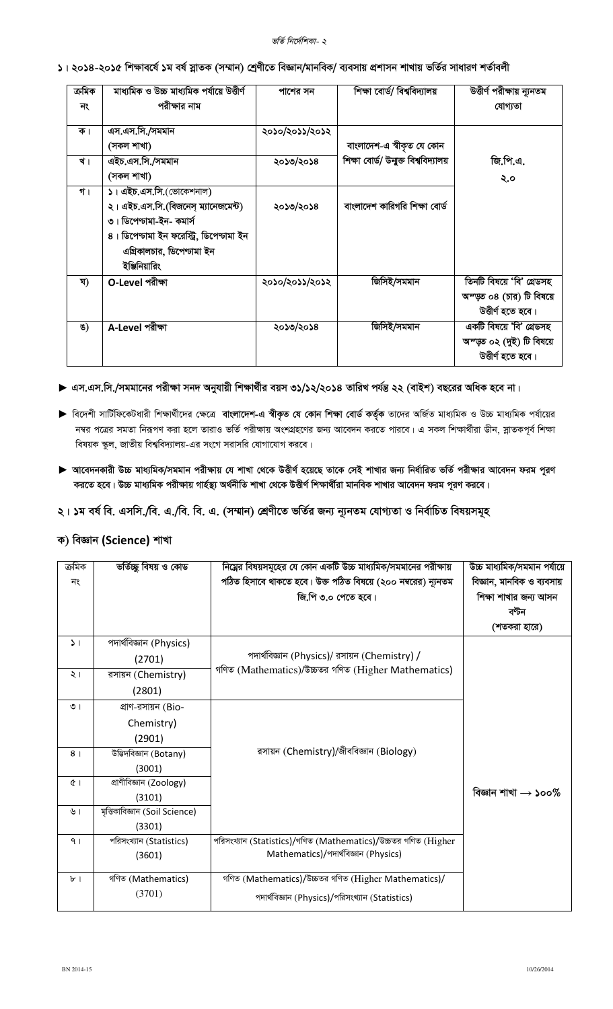#### ভর্তি নির্দেশিকা- ২

#### ১। ২০১৪-২০১৫ শিক্ষাবর্ষে ১ম বর্ষ স্নাতক (সম্মান) শ্রেণীতে বিজ্ঞান/মানবিক/ ব্যবসায় প্রশাসন শাখায় ভর্তির সাধারণ শর্তাবলী

| ক্ৰমিক<br>নং | মাধ্যমিক ও উচ্চ মাধ্যমিক পর্যায়ে উত্তীর্ণ<br>পরীক্ষার নাম | পাশের সন       | শিক্ষা বোর্ড/ বিশ্ববিদ্যালয়          | উত্তীর্ণ পরীক্ষায় ন্যূনতম<br>যোগ্যতা |
|--------------|------------------------------------------------------------|----------------|---------------------------------------|---------------------------------------|
|              |                                                            |                |                                       |                                       |
| ক।           | এস.এস.সি./সমমান                                            | ২০১০/২০১১/২০১২ |                                       |                                       |
|              | (সকল শাখা)                                                 |                | বাংলাদেশ-এ স্বীকৃত যে কোন             |                                       |
| খ।           | এইচ.এস.সি./সমমান                                           | ২০১৩/২০১৪      | শিক্ষা বোৰ্ড/ উন্মুক্ত বিশ্ববিদ্যালয় | জি.পি.এ.                              |
|              | (সকল শাখা)                                                 |                |                                       | ২.০                                   |
| গ।           | ১। এইচ.এস.সি.(ভোকেশনাল)                                    |                |                                       |                                       |
|              | ২। এইচ.এস.সি.(বিজনেস্ ম্যানেজমেন্ট)                        | ২০১৩/২০১৪      | বাংলাদেশ কারিগরি শিক্ষা বোর্ড         |                                       |
|              | ৩। ডিপেণ্টামা-ইন- কমার্স                                   |                |                                       |                                       |
|              | ৪। ডিপেণ্চামা ইন ফরেস্ট্রি, ডিপেণ্চামা ইন                  |                |                                       |                                       |
|              | এগ্রিকালচার, ডিপেণ্ডামা ইন                                 |                |                                       |                                       |
|              | ইঞ্জিনিয়ারিং                                              |                |                                       |                                       |
| ঘ)           | O-Level পরীক্ষা                                            | ২০১০/২০১১/২০১২ | জিসিই/সমমান                           | তিনটি বিষয়ে 'বি' গ্ৰেডসহ             |
|              |                                                            |                |                                       | অন্ডুত ০৪ (চার) টি বিষয়ে             |
|              |                                                            |                |                                       | উত্তীৰ্ণ হতে হবে।                     |
| ঙ)           | A-Level পরীক্ষা                                            | ২০১৩/২০১৪      | জিসিই/সমমান                           | একটি বিষয়ে 'বি' গ্ৰেডসহ              |
|              |                                                            |                |                                       | অন্ডুত ০২ (দুই) টি বিষয়ে             |
|              |                                                            |                |                                       | উত্তীৰ্ণ হতে হবে।                     |

#### ▶ এস.এস.সি./সমমানের পরীক্ষা সনদ অনুযায়ী শিক্ষার্থীর বয়স ৩১/১২/২০১৪ তারিখ পর্যন্ত ২২ (বাইশ) বছরের অধিক হবে না।

- ▶ বিদেশী সার্টিফিকেটধারী শিক্ষার্থীদের ক্ষেত্রে বাংলাদেশ-এ স্বীকৃত যে কোন শিক্ষা বোর্ড কর্তৃক তাদের অর্জিত মাধ্যমিক ও উচ্চ মাধ্যমিক পর্যায়ের নম্বর পত্রের সমতা নিরূপণ করা হলে তারাও ভর্তি পরীক্ষায় অংশগ্রহণের জন্য আবেদন করতে পারবে। এ সকল শিক্ষার্থীরা ডীন, স্নাতকপূর্ব শিক্ষা বিষয়ক স্কুল, জাতীয় বিশ্ববিদ্যালয়-এর সংগে সরাসরি যোগাযোগ করবে।
- ▶ আবেদনকারী উচ্চ মাধ্যমিক/সমমান পরীক্ষায় যে শাখা থেকে উত্তীর্ণ হয়েছে তাকে সেই শাখার জন্য নির্ধারিত ভর্তি পরীক্ষার আবেদন ফরম পূরণ করতে হবে। উচ্চ মাধ্যমিক পরীক্ষায় গার্হস্ত্য অর্থনীতি শাখা থেকে উত্তীর্ণ শিক্ষার্থীরা মানবিক শাখার আবেদন ফরম পূরণ করবে।

#### ২। ১ম বর্ষ বি. এসসি./বি. এ./বি. বি. এ. (সম্মান) শ্রেণীতে ভর্তির জন্য ন্যূনতম যোগ্যতা ও নির্বাচিত বিষয়সমূহ

#### ক) বিজ্ঞান (Science) শাখা

| ক্ৰমিক         | ভৰ্তিচ্ছু বিষয় ও কোড          | নিম্নের বিষয়সমূহের যে কোন একটি উচ্চ মাধ্যমিক/সমমানের পরীক্ষায় | উচ্চ মাধ্যমিক/সমমান পর্যায়ে    |
|----------------|--------------------------------|-----------------------------------------------------------------|---------------------------------|
|                |                                |                                                                 |                                 |
| নং             |                                | পঠিত হিসাবে থাকতে হবে। উক্ত পঠিত বিষয়ে (২০০ নম্বরের) ন্যূনতম   | বিজ্ঞান, মানবিক ও ব্যবসায়      |
|                |                                | জি.পি ৩.০ পেতে হবে।                                             | শিক্ষা শাখার জন্য আসন           |
|                |                                |                                                                 | বন্টন                           |
|                |                                |                                                                 | (শতকরা হারে)                    |
| $\mathcal{L}$  | পদার্থবিজ্ঞান (Physics)        |                                                                 |                                 |
|                | (2701)                         | পদার্থবিজ্ঞান (Physics)/ রসায়ন (Chemistry) /                   |                                 |
| $\frac{1}{2}$  | রসায়ন (Chemistry)             | গণিত (Mathematics)/উচ্চতর গণিত (Higher Mathematics)             |                                 |
|                | (2801)                         |                                                                 |                                 |
| $\circ$        | প্রাণ-রসায়ন (Bio-             |                                                                 |                                 |
|                | Chemistry)                     |                                                                 |                                 |
|                | (2901)                         |                                                                 |                                 |
| 8 <sub>1</sub> | উডিদবিজ্ঞান (Botany)           | রসায়ন (Chemistry)/জীববিজ্ঞান (Biology)                         |                                 |
|                | (3001)                         |                                                                 |                                 |
| Q              | প্ৰাণীবিজ্ঞান (Zoology)        |                                                                 |                                 |
|                | (3101)                         |                                                                 | বিজ্ঞান শাখা $\rightarrow$ ১০০% |
| ৬।             | মৃত্তিকাবিজ্ঞান (Soil Science) |                                                                 |                                 |
|                | (3301)                         |                                                                 |                                 |
| 9 <sub>1</sub> | পরিসংখ্যান (Statistics)        | পরিসংখ্যান (Statistics)/গণিত (Mathematics)/উচ্চতর গণিত (Higher  |                                 |
|                | (3601)                         | Mathematics)/পদার্থবিজ্ঞান (Physics)                            |                                 |
|                |                                |                                                                 |                                 |
| $\mathbf{b}$   | গণিত (Mathematics)             | গণিত (Mathematics)/উচ্চতর গণিত (Higher Mathematics)/            |                                 |
|                | (3701)                         | পদার্থবিজ্ঞান (Physics)/পরিসংখ্যান (Statistics)                 |                                 |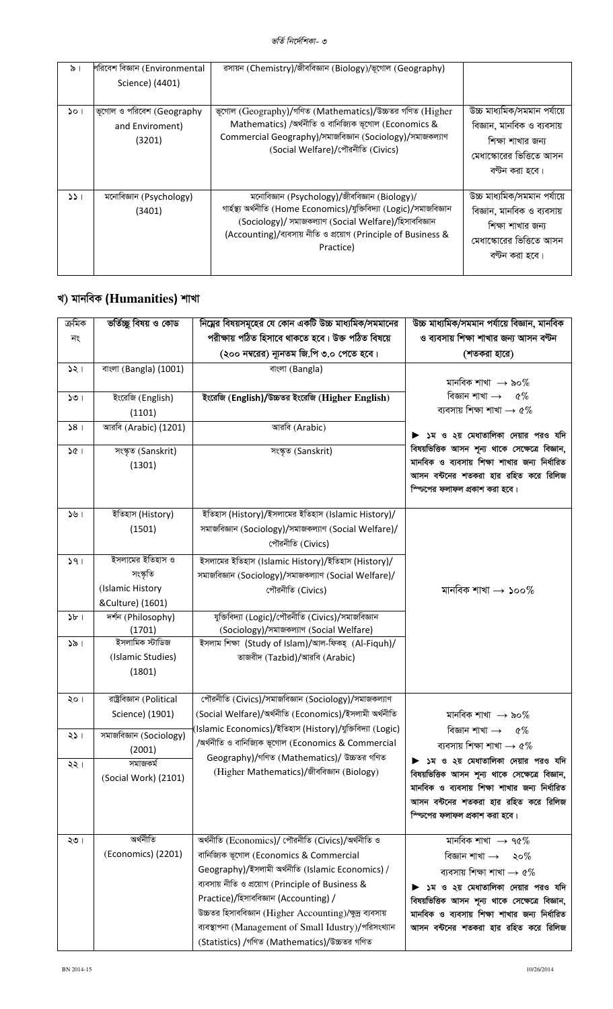#### *ভৰ্তি নিৰ্দেশিকা- ৩*

| $\frac{1}{2}$ | শরিবেশ বিজ্ঞান (Environmental<br>Science) (4401)       | রসায়ন (Chemistry)/জীববিজ্ঞান (Biology)/ভূগোল (Geography)                                                                                                                                                                                                     |                                                                                                                               |
|---------------|--------------------------------------------------------|---------------------------------------------------------------------------------------------------------------------------------------------------------------------------------------------------------------------------------------------------------------|-------------------------------------------------------------------------------------------------------------------------------|
| $\mathcal{L}$ | ভূগোল ও পরিবেশ (Geography<br>and Enviroment)<br>(3201) | ভূগোল (Geography)/গণিত (Mathematics)/উচ্চতর গণিত (Higher<br>Mathematics) /অৰ্থনীতি ও বানিজ্যিক ভূগোল (Economics &<br>Commercial Geography)/সমাজবিজ্ঞান (Sociology)/সমাজকল্যাণ<br>(Social Welfare)/পৌরনীতি (Civics)                                            | উচ্চ মাধ্যমিক/সমমান পৰ্যায়ে<br>বিজ্ঞান, মানবিক ও ব্যবসায়<br>শিক্ষা শাখার জন্য<br>মেধাস্কোরের ভিত্তিতে আসন<br>বণ্টন করা হবে। |
| 331           | মনোবিজ্ঞান (Psychology)<br>(3401)                      | মনোবিজ্ঞান (Psychology)/জীববিজ্ঞান (Biology)/<br>গাৰ্হস্থ্য অৰ্থনীতি (Home Economics)/যুক্তিবিদ্যা (Logic)/সমাজবিজ্ঞান<br>(Sociology)/ সমাজকল্যাণ (Social Welfare)/হিসাববিজ্ঞান<br>(Accounting)/ব্যবসায় নীতি ও প্রয়োগ (Principle of Business &<br>Practice) | উচ্চ মাধ্যমিক/সমমান পর্যায়ে<br>বিজ্ঞান, মানবিক ও ব্যবসায়<br>শিক্ষা শাখার জন্য<br>মেধাস্কোরের ভিত্তিতে আসন<br>বণ্টন করা হবে। |

## খ) মানবিক (Humanities) শাখা

| ক্ৰমিক<br>নং      | ভৰ্তিচ্ছু বিষয় ও কোড                                                | নিম্নের বিষয়সমূহের যে কোন একটি উচ্চ মাধ্যমিক/সমমানের<br>পরীক্ষায় পঠিত হিসাবে থাকতে হবে। উক্ত পঠিত বিষয়ে<br>(২০০ নম্বরের) ন্যূনতম জি.পি ৩.০ পেতে হবে।                                                                                                                                                                                                                                                           | উচ্চ মাধ্যমিক/সমমান পর্যায়ে বিজ্ঞান, মানবিক<br>ও ব্যবসায় শিক্ষা শাখার জন্য আসন বণ্টন<br>(শতকরা হারে)                                                                                                                                                                                       |
|-------------------|----------------------------------------------------------------------|-------------------------------------------------------------------------------------------------------------------------------------------------------------------------------------------------------------------------------------------------------------------------------------------------------------------------------------------------------------------------------------------------------------------|----------------------------------------------------------------------------------------------------------------------------------------------------------------------------------------------------------------------------------------------------------------------------------------------|
| $\frac{1}{2}$     | বাংলা (Bangla) (1001)                                                | বাংলা (Bangla)                                                                                                                                                                                                                                                                                                                                                                                                    | মানবিক শাখা $\;\rightarrow$ ৯০%                                                                                                                                                                                                                                                              |
| 501               | ইংরেজি (English)<br>(1101)                                           | ইংরেজি (English)/উচ্চতর ইংরেজি (Higher English)                                                                                                                                                                                                                                                                                                                                                                   | বিজ্ঞান শাখা $\rightarrow$ ৫%<br>ব্যবসায় শিক্ষা শাখা $\rightarrow$ ৫%                                                                                                                                                                                                                       |
| 58 <sub>1</sub>   | আরবি (Arabic) (1201)                                                 | আরবি (Arabic)                                                                                                                                                                                                                                                                                                                                                                                                     | ▶ ১ম ও ২য় মেধাতালিকা দেয়ার পরও যদি                                                                                                                                                                                                                                                         |
| 361               | সংস্কৃত (Sanskrit)<br>(1301)                                         | সংস্কৃত (Sanskrit)                                                                                                                                                                                                                                                                                                                                                                                                | বিষয়ভিত্তিক আসন শূন্য থাকে সেক্ষেত্রে বিজ্ঞান,<br>মানবিক ও ব্যবসায় শিক্ষা শাখার জন্য নির্ধারিত<br>আসন বন্টনের শতকরা হার রহিত করে রিলিজ<br>স্ফিসের ফলাফল প্রকাশ করা হবে।                                                                                                                    |
|                   | ইতিহাস (History)<br>(1501)                                           | ইতিহাস (History)/ইসলামের ইতিহাস (Islamic History)/<br>সমাজবিজ্ঞান (Sociology)/সমাজকল্যাণ (Social Welfare)/<br>পৌরনীতি (Civics)                                                                                                                                                                                                                                                                                    |                                                                                                                                                                                                                                                                                              |
| 591               | ইসলামের ইতিহাস ও<br>সংস্কৃতি<br>(Islamic History<br>&Culture) (1601) | ইসলামের ইতিহাস (Islamic History)/ইতিহাস (History)/<br>সমাজবিজ্ঞান (Sociology)/সমাজকল্যাণ (Social Welfare)/<br>পৌরনীতি (Civics)                                                                                                                                                                                                                                                                                    | মানবিক শাখা $\rightarrow$ ১০০ $\%$                                                                                                                                                                                                                                                           |
| $5b$ <sup>1</sup> | দর্শন (Philosophy)<br>(1701)                                         | যুক্তিবিদ্যা (Logic)/পৌরনীতি (Civics)/সমাজবিজ্ঞান<br>(Sociology)/সমাজকল্যাণ (Social Welfare)                                                                                                                                                                                                                                                                                                                      |                                                                                                                                                                                                                                                                                              |
| 351               | ইসলামিক স্টাডিজ<br>(Islamic Studies)<br>(1801)                       | ইসলাম শিক্ষা (Study of Islam)/আল-ফিকহ্ (Al-Fiquh)/<br>তাজবীদ (Tazbid)/আরবি (Arabic)                                                                                                                                                                                                                                                                                                                               |                                                                                                                                                                                                                                                                                              |
| ২০।               | রাষ্ট্রবিজ্ঞান (Political<br>Science) (1901)                         | পৌরনীতি (Civics)/সমাজবিজ্ঞান (Sociology)/সমাজকল্যাণ<br>(Social Welfare)/অৰ্থনীতি (Economics)/ইসলামী অৰ্থনীতি                                                                                                                                                                                                                                                                                                      | মানবিক শাখা $\;\rightarrow$ ৯০%                                                                                                                                                                                                                                                              |
| 251               | সমাজবিজ্ঞান (Sociology)<br>(2001)                                    | (Islamic Economics)/ইতিহাস (History)/যুক্তিবিদ্যা (Logic)<br>/অৰ্থনীতি ও বানিজ্যিক ভূগোল (Economics & Commercial<br>Geography)/গণিত (Mathematics)/ উচ্চতর গণিত                                                                                                                                                                                                                                                    | বিজ্ঞান শাখা $\rightarrow$ ৫%<br>ব্যবসায় শিক্ষা শাখা $\rightarrow$ ৫%                                                                                                                                                                                                                       |
| ২২।               | সমাজকৰ্ম<br>(Social Work) (2101)                                     | (Higher Mathematics)/জীববিজ্ঞান (Biology)                                                                                                                                                                                                                                                                                                                                                                         | ▶ ১ম ও ২য় মেধাতালিকা দেয়ার পরও যদি<br>বিষয়ভিত্তিক আসন শূন্য থাকে সেক্ষেত্রে বিজ্ঞান,<br>মানবিক ও ব্যবসায় শিক্ষা শাখার জন্য নির্ধারিত<br>আসন বন্টনের শতকরা হার রহিত করে রিলিজ<br>স্ফিসের ফলাফল প্রকাশ করা হবে।                                                                            |
| ২৩।               | অৰ্থনীতি<br>(Economics) (2201)                                       | অৰ্থনীতি (Economics)/ পৌৱনীতি (Civics)/অৰ্থনীতি ও<br>বানিজ্যিক ভূগোল (Economics & Commercial<br>Geography)/ইসলামী অৰ্থনীতি (Islamic Economics) /<br>ব্যবসায় নীতি ও প্রয়োগ (Principle of Business &<br>Practice)/হিসাববিজ্ঞান (Accounting) /<br>উচ্চতর হিসাববিজ্ঞান (Higher Accounting)/ক্ষুদ্র ব্যবসায়<br>ব্যবস্থাপনা (Management of Small Idustry)/পরিসংখ্যান<br>(Statistics) /গণিত (Mathematics)/উচ্চতর গণিত | মানবিক শাখা $\rightarrow$ ৭৫%<br>বিজ্ঞান শাখা $\rightarrow$ ২০%<br>ব্যবসায় শিক্ষা শাখা $\rightarrow$ ৫%<br>▶ ১ম ও ২য় মেধাতালিকা দেয়ার পরও যদি<br>বিষয়ভিত্তিক আসন শূন্য থাকে সেক্ষেত্রে বিজ্ঞান,<br>মানবিক ও ব্যবসায় শিক্ষা শাখার জন্য নির্ধারিত<br>আসন বন্টনের শতকরা হার রহিত করে রিলিজ |

L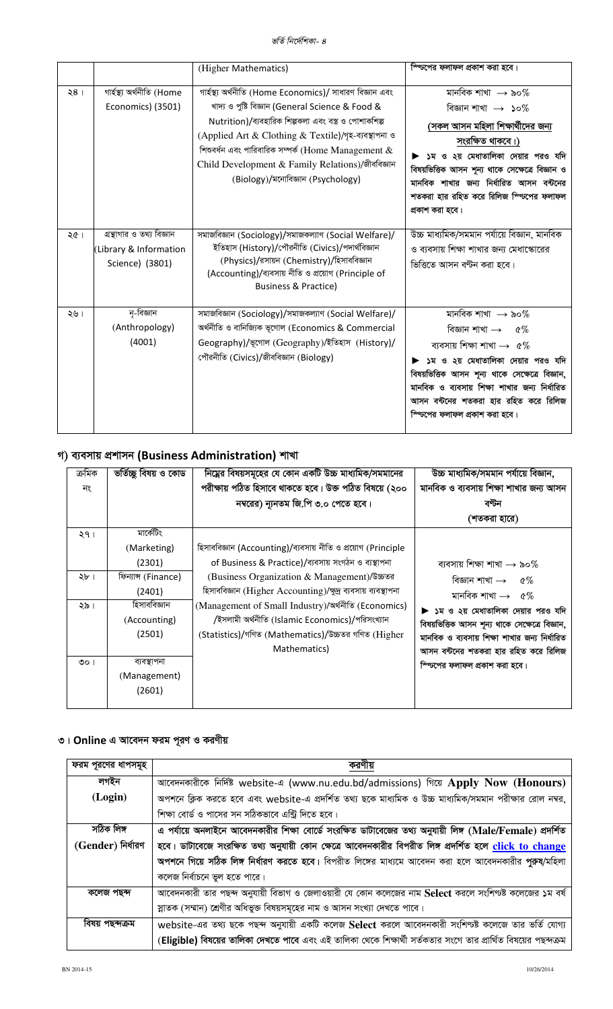|                 |                                                                        | (Higher Mathematics)                                                                                                                                                                                                                                                                                                                                                            | স্প্টিপের ফলাফল প্রকাশ করা হবে।                                                                                                                                                                                                                                                                                                    |
|-----------------|------------------------------------------------------------------------|---------------------------------------------------------------------------------------------------------------------------------------------------------------------------------------------------------------------------------------------------------------------------------------------------------------------------------------------------------------------------------|------------------------------------------------------------------------------------------------------------------------------------------------------------------------------------------------------------------------------------------------------------------------------------------------------------------------------------|
| 28 <sub>1</sub> | গাৰ্হস্থ্য অৰ্থনীতি (Home<br>Economics) (3501)                         | গাৰ্হস্থ্য অৰ্থনীতি (Home Economics)/ সাধারণ বিজ্ঞান এবং<br>খাদ্য ও পুষ্টি বিজ্ঞান (General Science & Food &<br>Nutrition)/ব্যবহারিক শিল্পকলা এবং বস্ত্র ও পোশাকশিল্প<br>(Applied Art & Clothing & Textile)/গৃহ-ব্যবস্থাপনা ও<br>শিশুবর্ধন এবং পারিবারিক সম্পর্ক (Home Management $\&$<br>Child Development & Family Relations)/জীববিজ্ঞান<br>(Biology)/মনোবিজ্ঞান (Psychology) | মানবিক শাখা $\;\rightarrow$ ৯০%<br>বিজ্ঞান শাখা $\;\rightarrow$ ১০%<br>(সকল আসন মহিলা শিক্ষার্থীদের জন্য<br>সংরক্ষিত থাকবে।)<br>▶ ১ম ও ২য় মেধাতালিকা দেয়ার পরও যদি<br>বিষয়ভিত্তিক আসন শূন্য থাকে সেক্ষেত্রে বিজ্ঞান ও<br>মানবিক শাখার জন্য নির্ধারিত আসন বন্টনের<br>শতকরা হার রহিত করে রিলিজ স্ণ্টিপের ফলাফল<br>প্রকাশ করা হবে। |
| ২৫ ।            | গ্রন্থাগার ও তথ্য বিজ্ঞান<br>(Library & Information<br>Science) (3801) | সমাজবিজ্ঞান (Sociology)/সমাজকল্যাণ (Social Welfare)/<br>ইতিহাস (History)/পৌরনীতি (Civics)/পদার্থবিজ্ঞান<br>(Physics)/রসায়ন (Chemistry)/হিসাববিজ্ঞান<br>(Accounting)/ব্যবসায় নীতি ও প্রয়োগ (Principle of<br><b>Business &amp; Practice)</b>                                                                                                                                   | উচ্চ মাধ্যমিক/সমমান পর্যায়ে বিজ্ঞান, মানবিক<br>ও ব্যবসায় শিক্ষা শাখার জন্য মেধাস্কোরের<br>ভিত্তিতে আসন বণ্টন করা হবে।                                                                                                                                                                                                            |
| ২৬।             | নৃ-বিজ্ঞান<br>(Anthropology)<br>(4001)                                 | সমাজবিজ্ঞান (Sociology)/সমাজকল্যাণ (Social Welfare)/<br>অৰ্থনীতি ও বানিজ্যিক ভূগোল (Economics & Commercial<br>Geography)/ভূগোল (Geography)/ইতিহাস (History)/<br>পৌরনীতি (Civics)/জীববিজ্ঞান (Biology)                                                                                                                                                                           | মানবিক শাখা $\rightarrow$ ৯০%<br>বিজ্ঞান শাখা $\rightarrow$ ৫%<br>ব্যবসায় শিক্ষা শাখা $\rightarrow$ ৫%<br>১ম ও ২য় মেধাতালিকা দেয়ার পরও যদি<br>বিষয়ভিত্তিক আসন শূন্য থাকে সেক্ষেত্রে বিজ্ঞান,<br>মানবিক ও ব্যবসায় শিক্ষা শাখার জন্য নির্ধারিত<br>আসন বন্টনের শতকরা হার রহিত করে রিলিজ<br>স্ফিচপের ফলাফল প্রকাশ করা হবে।        |

## গ) ব্যবসায় প্রশাসন (Business Administration) শাখা

| ক্ৰমিক<br>নং                     | ভৰ্তিচ্ছু বিষয় ও কোড                                                                                                                                  | নিম্নের বিষয়সমূহের যে কোন একটি উচ্চ মাধ্যমিক/সমমানের<br>পরীক্ষায় পঠিত হিসাবে থাকতে হবে। উক্ত পঠিত বিষয়ে (২০০<br>নম্বরের) ন্যূনতম জি.পি ৩.০ পেতে হবে।                                                                                                                                                                                                                                                              | উচ্চ মাধ্যমিক/সমমান পর্যায়ে বিজ্ঞান,<br>মানবিক ও ব্যবসায় শিক্ষা শাখার জন্য আসন<br>বণ্টন                                                                                                                                                                                                                                    |
|----------------------------------|--------------------------------------------------------------------------------------------------------------------------------------------------------|----------------------------------------------------------------------------------------------------------------------------------------------------------------------------------------------------------------------------------------------------------------------------------------------------------------------------------------------------------------------------------------------------------------------|------------------------------------------------------------------------------------------------------------------------------------------------------------------------------------------------------------------------------------------------------------------------------------------------------------------------------|
|                                  |                                                                                                                                                        |                                                                                                                                                                                                                                                                                                                                                                                                                      | (শতকরা হারে)                                                                                                                                                                                                                                                                                                                 |
| ২৭।<br>২৮ ।<br>২৯ ৷<br>$\circ$ ା | মাৰ্কেটিং<br>(Marketing)<br>(2301)<br>ফিন্যান্স (Finance)<br>(2401)<br>হিসাববিজ্ঞান<br>(Accounting)<br>(2501)<br>ব্যবস্থাপনা<br>(Management)<br>(2601) | হিসাববিজ্ঞান (Accounting)/ব্যবসায় নীতি ও প্রয়োগ (Principle<br>of Business & Practice)/ব্যবসায় সংগঠন ও ব্যস্থাপনা<br>(Business Organization & Management)/উচ্চতর<br>হিসাববিজ্ঞান (Higher Accounting)/ক্ষুদ্র ব্যবসায় ব্যবস্থাপনা<br>(Management of Small Industry)/অৰ্থনীতি (Economics)<br>/ইসলামী অৰ্থনীতি (Islamic Economics)/পরিসংখ্যান<br>(Statistics)/গণিত (Mathematics)/উচ্চতর গণিত (Higher<br>Mathematics) | ব্যবসায় শিক্ষা শাখা $\rightarrow$ ৯০%<br>বিজ্ঞান শাখা $\rightarrow$ ৫%<br>মানবিক শাখা $\rightarrow$ ৫%<br>▶ ১ম ও ২য় মেধাতালিকা দেয়ার পরও যদি<br>বিষয়ভিত্তিক আসন শূন্য থাকে সেক্ষেত্রে বিজ্ঞান,<br>মানবিক ও ব্যবসায় শিক্ষা শাখার জন্য নির্ধারিত<br>আসন বন্টনের শতকরা হার রহিত করে রিলিজ<br>স্ফিসের ফলাফল প্রকাশ করা হবে। |

## ৩। Online এ আবেদন ফরম পূরণ ও করণীয়

| ফরম পূরণের ধাপসমূহ |                                                                                                                  |
|--------------------|------------------------------------------------------------------------------------------------------------------|
| লগইন               | আবেদনকারীকে নির্দিষ্ট website-এ (www.nu.edu.bd/admissions) গিয়ে Apply Now (Honours)                             |
| (Login)            | অপশনে ক্লিক করতে হবে এবং website-এ প্রদর্শিত তথ্য ছকে মাধ্যমিক ও উচ্চ মাধ্যমিক/সমমান পরীক্ষার রোল নম্বর,         |
|                    | শিক্ষা বোর্ড ও পাসের সন সঠিকভাবে এন্ট্রি দিতে হবে।                                                               |
| সঠিক লিঙ্গ         | এ পর্যায়ে অনলাইনে আবেদনকারীর শিক্ষা বোর্ডে সংরক্ষিত ডাটাবেজের তথ্য অনুযায়ী লিঙ্গ (Male/Female) প্রদর্শিত       |
| (Gender) নিৰ্ধারণ  | হবে। ডাটাবেজে সংরক্ষিত তথ্য অনুযায়ী কোন ক্ষেত্রে আবেদনকারীর বিপরীত লিঙ্গ প্রদর্শিত হলে click to change          |
|                    | অপশনে গিয়ে সঠিক লিঙ্গ নির্ধারণ করতে হবে। বিপরীত লিঙ্গের মাধ্যমে আবেদন করা হলে আবেদনকারীর পুরুষ/মহিলা            |
|                    | কলেজ নির্বাচনে ভুল হতে পারে।                                                                                     |
| কলেজ পছন্দ         | আবেদনকারী তার পছন্দ অনুযায়ী বিভাগ ও জেলাওয়ারী যে কোন কলেজের নাম Select করলে সংশিণ্যষ্ট কলেজের ১ম বর্ষ          |
|                    | স্নাতক (সম্মান) শ্রেণীর অধিভুক্ত বিষয়সমূহের নাম ও আসন সংখ্যা দেখতে পাবে।                                        |
| বিষয় পছন্দক্ৰম    | website-এর তথ্য ছকে পছন্দ অনুযায়ী একটি কলেজ Select করলে আবেদনকারী সংশিণ্যষ্ট কলেজে তার ভর্তি যোগ্য              |
|                    | (Eligible) বিষয়ের তালিকা দেখতে পাবে এবং এই তালিকা থেকে শিক্ষার্থী সর্তকতার সংগে তার প্রার্থিত বিষয়ের পছন্দক্রম |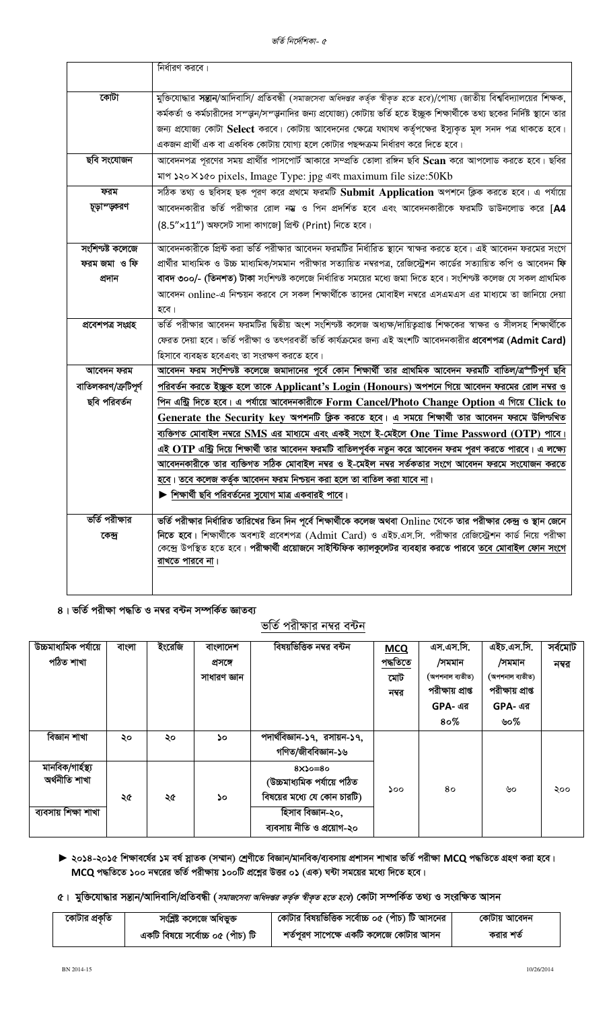|                     | নির্ধারণ করবে।                                                                                                                          |
|---------------------|-----------------------------------------------------------------------------------------------------------------------------------------|
| কোটা                | মুক্তিযোদ্ধার সন্তান/আদিবাসি/ প্রতিবন্ধী ( <i>সমাজসেবা অধিদণ্ডর কর্তৃক স্বীকৃত হতে হবে</i> )/পোষ্য (জাতীয় বিশ্ববিদ্যালয়ের শিক্ষক,     |
|                     | কর্মকর্তা ও কর্মচারীদের সম্ড্মন/সম্ড্মনাদির জন্য প্রযোজ্য) কোটায় ভর্তি হতে ইচ্ছুক শিক্ষার্থীকে তথ্য ছকের নির্দিষ্ট স্থানে তার          |
|                     | জন্য প্রযোজ্য কোটা Select করবে। কোটায় আবেদনের ক্ষেত্রে যথাযথ কর্তৃপক্ষের ইস্যুকৃত মূল সনদ পত্র থাকতে হবে।                              |
|                     | একজন প্রার্থী এক বা একধিক কোটায় যোগ্য হলে কোটার পছন্দক্রম নির্ধারণ করে দিতে হবে।                                                       |
| ছবি সংযোজন          | আবেদনপত্র পূরণের সময় প্রার্থীর পাসপোর্ট আকারে সম্প্রতি তোলা রঙ্গিন ছবি Scan করে আপলোড করতে হবে। ছবির                                   |
|                     | মাপ ১২০ × ১৫০ pixels, Image Type: jpg এবং maximum file size:50Kb                                                                        |
| ফরম                 | সঠিক তথ্য ও ছবিসহ ছক পূরণ করে প্রথমে ফরমটি Submit Application অপশনে ক্লিক করতে হবে। এ পর্যায়ে                                          |
| চূড়াম্ডকরণ         | আবেদনকারীর ভর্তি পরীক্ষার রোল নম্ভ ও পিন প্রদর্শিত হবে এবং আবেদনকারীকে ফরমটি ডাউনলোড করে [ <b>A4</b>                                    |
|                     | $(8.5" \times 11")$ অফসেট সাদা কাগজে] প্রিন্ট (Print) নিতে হবে।                                                                         |
| সংশিণ্যষ্ট কলেজে    | আবেদনকারীকে প্রিন্ট করা ভর্তি পরীক্ষার আবেদন ফরমটির নির্ধারিত স্থানে স্বাক্ষর করতে হবে। এই আবেদন ফরমের সংগে                             |
| ফরম জমা ও ফি        | প্রার্থীর মাধ্যমিক ও উচ্চ মাধ্যমিক/সমমান পরীক্ষার সত্যায়িত নম্বরপত্র, রেজিস্ট্রেশন কার্ডের সত্যায়িত কপি ও আবেদন <b>ফি</b>             |
| প্ৰদান              | বাবদ ৩০০/- (তিনশত) টাকা সংশিণ্যষ্ট কলেজে নির্ধারিত সময়ের মধ্যে জমা দিতে হবে। সংশিণ্যষ্ট কলেজ যে সকল প্রাথমিক                           |
|                     | আবেদন online-এ নিশ্চয়ন করবে সে সকল শিক্ষার্থীকে তাদের মোবাইল নম্বরে এসএমএস এর মাধ্যমে তা জানিয়ে দেয়া                                 |
|                     | হবে।                                                                                                                                    |
| প্ৰবেশপত্ৰ সংগ্ৰহ   | ভর্তি পরীক্ষার আবেদন ফরমটির দ্বিতীয় অংশ সংশিণ্যষ্ট কলেজ অধ্যক্ষ/দায়িতৃপ্রাপ্ত শিক্ষকের স্বাক্ষর ও সীলসহ শিক্ষার্থীকে                  |
|                     | ফেরত দেয়া হবে। ভর্তি পরীক্ষা ও তৎপরবর্তী ভর্তি কার্যক্রমের জন্য এই অংশটি আবেদনকারীর প্র <b>বেশপত্র (Admit Card)</b>                    |
|                     | হিসাবে ব্যবহৃত হবেএবং তা সংরক্ষণ করতে হবে।                                                                                              |
| আবেদন ফরম           | আবেদন ফরম সংশিণ্যষ্ট কলেজে জমাদানের পূর্বে কোন শিক্ষার্থী তার প্রাথমিক আবেদন ফরমটি বাতিল/ত্র <del>্</del> র্লটিপূর্ণ ছবি                |
| বাতিলকরণ/ক্রটিপূর্ণ | <u>পরিবর্তন করতে ইচ্ছুক হলে তাকে Applicant's Login (Honours) অপশনে গিয়ে আবেদন ফরমের রোল নম্বর ও</u>                                    |
| ছবি পরিবর্তন        | <u>পিন এন্ট্রি দিতে হবে। এ পর্যায়ে আবেদনকারীকে Form Cancel/Photo Change Option এ গিয়ে Click to</u>                                    |
|                     | Generate the Security key অপশনটি ক্লিক করতে হবে। এ সময়ে শিক্ষার্থী তার আবেদন ফরমে উলিন্টখিত                                            |
|                     | ব্যক্তিগত মোবাইল নম্বরে SMS এর মাধ্যমে এবং একই সংগে ই-মেইলে One Time Password (OTP) পাবে।                                               |
|                     | এই OTP এন্ট্রি দিয়ে শিক্ষার্থী তার আবেদন ফরমটি বাতিলপূর্বক নতুন করে আবেদন ফরম পুরণ করতে পারবে। এ লক্ষ্যে                               |
|                     | আবেদনকারীকে তার ব্যক্তিগত সঠিক মোবাইল নম্বর ও ই-মেইল নম্বর সর্তকতার সংগে আবেদন ফরমে সংযোজন করতে                                         |
|                     | <u>হবে। তবে কলেজ কর্তৃক আবেদন ফরম নিশ্চয়ন করা হলে তা বাতিল করা যাবে না</u> ।                                                           |
|                     | $\blacktriangleright$ শিক্ষার্থী ছবি পরিবর্তনের সুযোগ মাত্র একবারই পাবে।                                                                |
| ভর্তি পরীক্ষার      | ভর্তি পরীক্ষার নির্ধারিত তারিখের তিন দিন পূর্বে শিক্ষার্থীকে কলেজ অথবা Online থেকে তার পরীক্ষার কেন্দ্র ও স্থান জেনে                    |
| কেন্দ্ৰ             | নিতে হবে। শিক্ষার্থীকে অবশ্যই প্রবেশপত্র (Admit Card) ও এইচ.এস.সি. পরীক্ষার রেজিস্ট্রেশন কার্ড নিয়ে পরীক্ষা                            |
|                     | কেন্দ্রে উপস্থিত হতে হবে। পরীক্ষার্থী প্রয়োজনে সাইন্টিফিক ক্যালকুলেটর ব্যবহার করতে পারবে <u>তবে মোবাইল ফোন সংগে</u><br>রাখতে পারবে না। |
|                     |                                                                                                                                         |
|                     |                                                                                                                                         |

৪। ভর্তি পরীক্ষা পদ্ধতি ও নম্বর বন্টন সম্পর্কিত জ্ঞাতব্য

ভর্তি পরীক্ষার নম্বর বন্টন

| উচ্চমাধ্যমিক পর্যায়ে | বাংলা | ইংরেজি | বাংলাদেশ     | বিষয়ভিত্তিক নম্বর বন্টন     | <b>MCQ</b> | এস.এস.সি.             | এইচ.এস.সি.            | সৰ্বমোট |
|-----------------------|-------|--------|--------------|------------------------------|------------|-----------------------|-----------------------|---------|
| পঠিত শাখা             |       |        | প্ৰসঙ্গে     |                              | পদ্ধতিতে   | /সমমান                | /সমমান                | নম্বর   |
|                       |       |        | সাধারণ জ্ঞান |                              | মোট        | (অপশনাল ব্যতীত)       | (অপশনাল ব্যতীত)       |         |
|                       |       |        |              |                              | নম্বর      | পরীক্ষায় প্রাপ্ত     | পরীক্ষায় প্রাপ্ত     |         |
|                       |       |        |              |                              |            | $GPA - q\overline{q}$ | $GPA - q\overline{q}$ |         |
|                       |       |        |              |                              |            | $80\%$                | ৬০%                   |         |
| বিজ্ঞান শাখা          | ২০    | ২০     | ΔO           | পদার্থবিজ্ঞান-১৭, রসায়ন-১৭, |            |                       |                       |         |
|                       |       |        |              | গণিত/জীববিজ্ঞান-১৬           |            |                       |                       |         |
| মানবিক/গাৰ্হস্থ্য     |       |        |              | $8x30=80$                    |            |                       |                       |         |
| অৰ্থনীতি শাখা         |       |        |              | (উচ্চমাধ্যমিক পর্যায়ে পঠিত  | ১০০        | 80                    | ৬০                    | ২০০     |
|                       | ২৫    | ২৫     | ১০           | বিষয়ের মধ্যে যে কোন চারটি)  |            |                       |                       |         |
| ব্যবসায় শিক্ষা শাখা  |       |        |              | হিসাব বিজ্ঞান-২০,            |            |                       |                       |         |
|                       |       |        |              | ব্যবসায় নীতি ও প্রয়োগ-২০   |            |                       |                       |         |

► ২০১৪-২০১৫ শিক্ষাবর্ষের ১ম বর্ষ স্নাতক (সম্মান) শ্রেণীতে বিজ্ঞান/মানবিক/ব্যবসায় প্রশাসন শাখার ভর্তি পরীক্ষা MCQ পদ্ধতিতে গ্রহণ করা হবে। MCQ পদ্ধতিতে ১০০ নম্বরের ভর্তি পরীক্ষায় ১০০টি প্রশ্নের উত্তর ০১ (এক) ঘন্টা সময়ের মধ্যে দিতে হবে।

৫। মুক্তিযোদ্ধার সন্তান/আদিবাসি/প্রতিবন্ধী (*সমাজসেবা অধিদঙ্গর কর্তৃক স্বীকৃত হতে হবে*) কোটা সম্পর্কিত তথ্য ও সংরক্ষিত আসন

| কোটার প্রকৃতি | সংশ্লিষ্ট কলেজে অধিভুক্ত          | কোটার বিষয়ভিত্তিক সর্বোচ্চ ০৫ (পাঁচ) টি আসনের | কোটায় আবেদন |
|---------------|-----------------------------------|------------------------------------------------|--------------|
|               | একটি বিষয়ে সৰ্বোচ্চ ০৫ (পাঁচ) টি | শর্তপূরণ সাপেক্ষে একটি কলেজে কোটার আসন         | করার শর্ত    |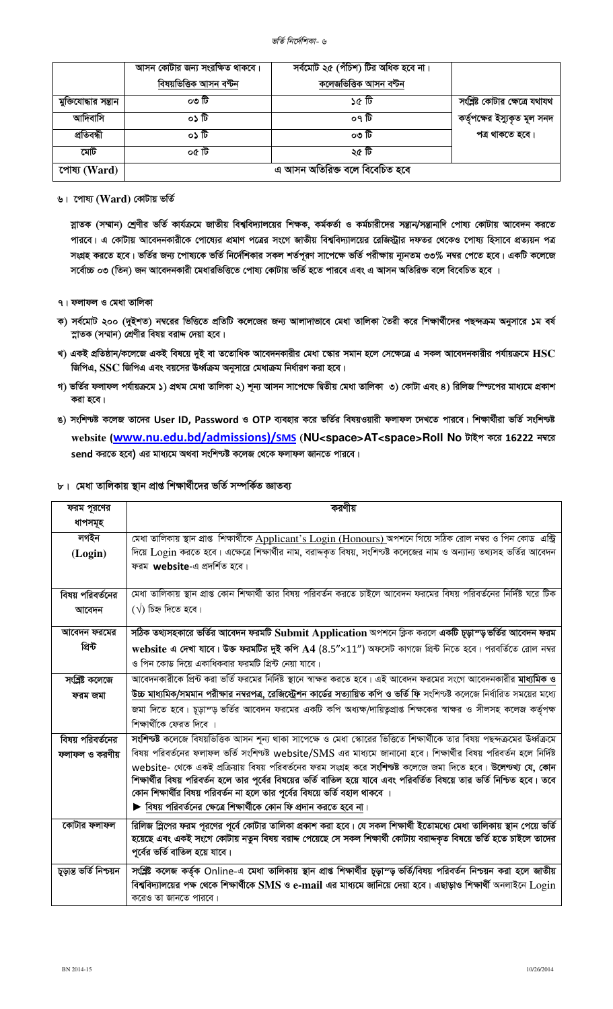|                      | আসন কোটার জন্য সংরক্ষিত থাকবে।<br>বিষয়ভিত্তিক আসন বণ্টন | সর্বমোট ২৫ (পঁচিশ) টির অধিক হবে না।<br>কলেজভিত্তিক আসন বণ্টন |                                |
|----------------------|----------------------------------------------------------|--------------------------------------------------------------|--------------------------------|
| মুক্তিযোদ্ধার সন্তান | ০৩ টি                                                    | ৰ্ত ১৫ টি                                                    | সংশ্লিষ্ট কোটার ক্ষেত্রে যথাযথ |
| আদিবাসি              | ০১ টি                                                    | ০৭ টি                                                        | কর্তৃপক্ষের ইস্যুকৃত মূল সনদ   |
| প্ৰতিবন্ধী           | ০১ টি                                                    | ০৩ টি                                                        | পত্ৰ থাকতে হবে।                |
| মোট                  | ০৫ টি                                                    | ২৫ টি                                                        |                                |
| পোষ্য (Ward)         |                                                          | এ আসন অতিরিক্ত বলে বিবেচিত হবে                               |                                |

৬। পোষ্য (Ward) কোটায় ভৰ্তি

স্নাতক (সম্মান) শ্রেণীর ভর্তি কার্যক্রমে জাতীয় বিশ্ববিদ্যালয়ের শিক্ষক, কর্মকর্তা ও কর্মচারীদের সন্তান/সন্তানাদি পোষ্য কোটায় আবেদন করতে পারবে। এ কোটায় আবেদনকারীকে পোষ্যের প্রমাণ পত্রের সংগে জাতীয় বিশ্ববিদ্যালয়ের রেজিস্ট্রার দফতর থেকেও পোষ্য হিসাবে প্রত্যয়ন পত্র সংগ্রহ করতে হবে। ভর্তির জন্য পোষ্যকে ভর্তি নির্দেশিকার সকল শর্তপূরণ সাপেক্ষে ভর্তি পরীক্ষায় ন্যূনতম ৩৩% নম্বর পেতে হবে। একটি কলেজে সর্বোচ্চ ০৩ (তিন) জন আবেদনকারী মেধারভিত্তিতে পোষ্য কোটায় ভর্তি হতে পারবে এবং এ আসন অতিরিক্ত বলে বিবেচিত হবে ।

- ৭। ফলাফল ও মেধা তালিকা
- ক) সর্বমোট ২০০ (দুইশত) নম্বরের ভিত্তিতে প্রতিটি কলেজের জন্য আলাদাভাবে মেধা তালিকা তৈরী করে শিক্ষার্থীদের পছন্দক্রম অনুসারে ১ম বর্ষ স্নাতক (সম্মান) শ্রেণীর বিষয় বরাদ্দ দেয়া হবে।
- খ) একই প্রতিষ্ঠান/কলেজে একই বিষয়ে দুই বা ততোধিক আবেদনকারীর মেধা স্কোর সমান হলে সেক্ষেত্রে এ সকল আবেদনকারীর পর্যায়ক্রমে  $\operatorname{HSC}$ জিপিএ, SSC জিপিএ এবং বয়সের উর্ধ্বক্রম অনুসারে মেধাক্রম নির্ধারণ করা হবে।
- গ) ভর্তির ফলাফল পর্যায়ক্রমে ১) প্রথম মেধা তালিকা ২) শূন্য আসন সাপেক্ষে দ্বিতীয় মেধা তালিকা ৩) কোটা এবং ৪) রিলিজ স্প্টিপের মাধ্যমে প্রকাশ করা হবে।
- ঙ) সংশিণ্টষ্ট কলেজ তাদের User ID, Password ও OTP ব্যবহার করে ভর্তির বিষয়ওয়ারী ফলাফল দেখতে পারবে। শিক্ষার্থীরা ভর্তি সংশিণ্ট website (www.nu.edu.bd/admissions)/SMS (NU<space>AT<space>Roll No টাইপ করে 16222 নম্বরে send করতে হবে) এর মাধ্যমে অথবা সংশিণ্যষ্ট কলেজ থেকে ফলাফল জানতে পারবে।
- ৮। মেধা তালিকায় স্থান প্রাপ্ত শিক্ষার্থীদের ভর্তি সম্পর্কিত জ্ঞাতব্য

| ফরম পূরণের              | করণীয়                                                                                                                                                                 |
|-------------------------|------------------------------------------------------------------------------------------------------------------------------------------------------------------------|
| ধাপসমূহ                 |                                                                                                                                                                        |
| লগইন                    | মেধা তালিকায় স্থান প্রাপ্ত শিক্ষার্থীকে Applicant's Login (Honours) অপশনে গিয়ে সঠিক রোল নম্বর ও পিন কোড এন্ট্রি                                                      |
| (Login)                 | দিয়ে Login করতে হবে। এক্ষেত্রে শিক্ষার্থীর নাম, বরাদ্দকৃত বিষয়, সংশিণ্যষ্ট কলেজের নাম ও অন্যান্য তথ্যসহ ভর্তির আবেদন                                                 |
|                         | ফরম website-এ প্রদর্শিত হবে।                                                                                                                                           |
|                         |                                                                                                                                                                        |
| বিষয় পরিবর্তনের        | মেধা তালিকায় স্থান প্রাপ্ত কোন শিক্ষার্থী তার বিষয় পরিবর্তন করতে চাইলে আবেদন ফরমের বিষয় পরিবর্তনের নির্দিষ্ট ঘরে টিক                                                |
| আবেদন                   | $(\sqrt{2})$ চিহ্ন দিতে হবে।                                                                                                                                           |
| আবেদন ফরমের             | সঠিক তথ্যসহকারে ভর্তির আবেদন ফরমটি Submit Application অপশনে ক্লিক করলে একটি চূড়াস্ড়ভর্তির আবেদন ফরম                                                                  |
| প্ৰিন্ট                 | website এ দেখা যাবে। উক্ত ফরমটির দুই কপি A4 (8.5"x11") অফসেট কাগজে প্রিন্ট নিতে হবে। পরবর্তিতে রোল নম্বর                                                               |
|                         | ও পিন কোড দিয়ে একাধিকবার ফরমটি প্রিন্ট নেয়া যাবে।                                                                                                                    |
| সংশ্লিষ্ট কলেজে         | আবেদনকারীকে প্রিন্ট করা ভর্তি ফরমের নির্দিষ্ট স্থানে স্বাক্ষর করতে হবে। এই আবেদন ফরমের সংগে আবেদনকারীর <b>মাধ্যমিক ও</b>                                               |
| ফরম জমা                 | <u>উচ্চ মাধ্যমিক/সমমান পরীক্ষার নম্বরপত্র, রেজিস্ট্রেশন কার্ডের সত্যায়িত কপি ও ভর্তি ফি</u> সংশিণ্যষ্ট কলেজে নির্ধারিত সময়ের মধ্যে                                   |
|                         | জমা দিতে হবে। চূড়াম্ড় ভর্তির আবেদন ফরমের একটি কপি অধ্যক্ষ/দায়িতৃপ্রাপ্ত শিক্ষকের স্বাক্ষর ও সীলসহ কলেজ কর্তৃপক্ষ                                                    |
|                         | শিক্ষাৰ্থীকে ফেরত দিবে ।                                                                                                                                               |
| বিষয় পরিবর্তনের        | সংশিণ্ট্ট কলেজে বিষয়ভিত্তিক আসন শূন্য থাকা সাপেক্ষে ও মেধা স্কোরের ভিত্তিতে শিক্ষার্থীকে তার বিষয় পছন্দক্রমের উর্ধ্বক্রমে                                            |
| ফলাফল ও করণীয়          | বিষয় পরিবর্তনের ফলাফল ভর্তি সংশিণ্যষ্ট website/SMS এর মাধ্যমে জানানো হবে। শিক্ষার্থীর বিষয় পরিবর্তন হলে নির্দিষ্ট                                                    |
|                         | website- থেকে একই প্রক্রিয়ায় বিষয় পরিবর্তনের ফরম সংগ্রহ করে <b>সংশিণ্ট্য</b> কলেজে জমা দিতে হবে। <b>উলেণ্ট্খ্য যে, কোন</b>                                          |
|                         | শিক্ষার্থীর বিষয় পরিবর্তন হলে তার পূর্বের বিষয়ের ভর্তি বাতিল হয়ে যাবে এবং পরিবর্তিত বিষয়ে তার ভর্তি নিশ্চিত হবে। তবে                                               |
|                         | কোন শিক্ষার্থীর বিষয় পরিবর্তন না হলে তার পূর্বের বিষয়ে ভর্তি বহাল থাকবে ।<br>$\blacktriangleright$ বিষয় পরিবর্তনের ক্ষেত্রে শিক্ষার্থীকে কোন ফি প্রদান করতে হবে না। |
|                         |                                                                                                                                                                        |
| কোটার ফলাফল             | রিলিজ স্লিপের ফরম পূরণের পূর্বে কোটার তালিকা প্রকাশ করা হবে। যে সকল শিক্ষার্থী ইতোমধ্যে মেধা তালিকায় স্থান পেয়ে ভর্তি                                                |
|                         | হয়েছে এবং একই সংগে কোটায় নতুন বিষয় বরাদ্দ পেয়েছে সে সকল শিক্ষার্থী কোটায় বরাদ্দকৃত বিষয়ে ভর্তি হতে চাইলে তাদের                                                   |
|                         | পূর্বের ভর্তি বাতিল হয়ে যাবে।                                                                                                                                         |
| চূড়ান্ত ভৰ্তি নিশ্চয়ন | সংশ্লিষ্ট কলেজ কর্তৃক Online-এ মেধা তালিকায় স্থান প্রাপ্ত শিক্ষার্থীর চূড়াস্ড় ভর্তি/বিষয় পরিবর্তন নিশ্চয়ন করা হলে জাতীয়                                          |
|                         | বিশ্ববিদ্যালয়ের পক্ষ থেকে শিক্ষার্থীকে SMS ও e-mail এর মাধ্যমে জানিয়ে দেয়া হবে। এছাড়াও শিক্ষার্থী অনলাইনে $\rm Login$                                              |
|                         | করেও তা জানতে পারবে।                                                                                                                                                   |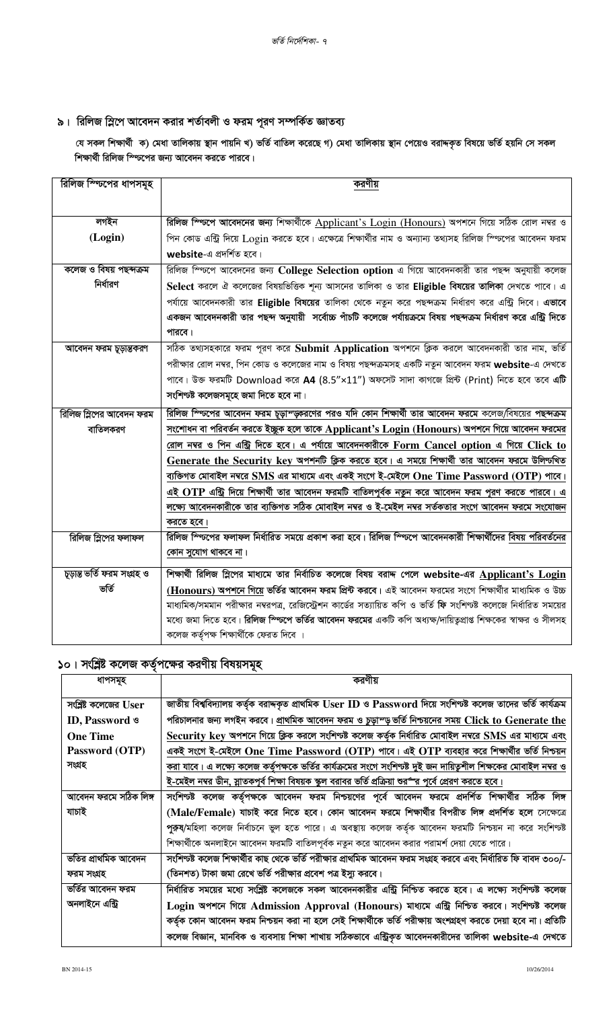## $\bullet$ । রিলিজ স্লিপে আবেদন করার শর্তাবলী ও ফরম পূরণ সম্পর্কিত জ্ঞাতব্য

যে সকল শিক্ষার্থী ক) মেধা তালিকায় স্থান পায়নি খ) ভর্তি বাতিল করেছে গ) মেধা তালিকায় স্থান পেয়েও বরাদ্দকৃত বিষয়ে ভর্তি হয়নি সে সকল শিক্ষার্থী রিলিজ স্ফিপের জন্য আবেদন করতে পারবে।

| রিলিজ স্জিপের ধাপসমূহ       | করণীয়                                                                                                                  |
|-----------------------------|-------------------------------------------------------------------------------------------------------------------------|
|                             |                                                                                                                         |
| লগইন                        | রিলিজ স্প্টিসে আবেদনের জন্য শিক্ষার্থীকে Applicant's Login (Honours) অপশনে গিয়ে সঠিক রোল নম্বর ও                       |
| (Login)                     | পিন কোড এন্ট্রি দিয়ে Login করতে হবে। এক্ষেত্রে শিক্ষার্থীর নাম ও অন্যান্য তথ্যসহ রিলিজ স্ণ্ডিপের আবেদন ফরম             |
|                             | website-এ প্রদর্শিত হবে।                                                                                                |
| কলেজ ও বিষয় পছন্দক্ৰম      | রিলিজ স্প্টিপে আবেদনের জন্য College Selection option এ গিয়ে আবেদনকারী তার পছন্দ অনুযায়ী কলেজ                          |
| নির্ধারণ                    |                                                                                                                         |
|                             | Select করলে ঐ কলেজের বিষয়ভিত্তিক শূন্য আসনের তালিকা ও তার Eligible বিষয়ের তালিকা দেখতে পাবে। এ                        |
|                             | পর্যায়ে আবেদনকারী তার Eligible বিষয়ের তালিকা থেকে নতুন করে পছন্দক্রম নির্ধারণ করে এন্ট্রি দিবে। <b>এভাবে</b>          |
|                             | একজন আবেদনকারী তার পছন্দ অনুযায়ী  সর্বোচ্চ পাঁচটি কলেজে পর্যায়ক্রমে বিষয় পছন্দক্রম নির্ধারণ করে এন্ট্রি দিতে         |
|                             | পারবে।                                                                                                                  |
| আবেদন ফরম চূড়ান্তকরণ       | সঠিক তথ্যসহকারে ফরম পূরণ করে Submit Application অপশনে ক্লিক করলে আবেদনকারী তার নাম, ভর্তি                               |
|                             | পরীক্ষার রোল নম্বর, পিন কোড ও কলেজের নাম ও বিষয় পছন্দক্রমসহ একটি নতুন আবেদন ফরম website-এ দেখতে                        |
|                             | পাবে। উক্ত ফরমটি Download করে A4 (8.5"×11") অফসেট সাদা কাগজে প্রিন্ট (Print) নিতে হবে তবে এটি                           |
|                             | সংশিণ্যষ্ট কলেজসমূহে জমা দিতে হবে না।                                                                                   |
| রিলিজ স্লিপের আবেদন ফরম     | রিলিজ স্প্টিপের আবেদন ফরম চূড়াস্ড়্করণের পরও যদি কোন শিক্ষার্থী তার আবেদন ফরমে কলেজ/বিষয়ের পছন্দক্রম                  |
| বাতিলকরণ                    | <u>সংশোধন বা পরিবর্তন করতে ইচ্ছুক হলে তাকে Applicant's Login (Honours) অপশনে গিয়ে আবেদন ফরমের</u>                      |
|                             | <u>রোল নম্বর ও পিন এন্ট্রি দিতে হবে। এ পর্যায়ে আবেদনকারীকে Form Cancel option এ গিয়ে Click to</u>                     |
|                             | Generate the Security key অপশনটি ক্লিক করতে হবে। এ সময়ে শিক্ষার্থী তার আবেদন ফরমে উলিন্টখিত                            |
|                             | <u>ব্যক্তিগত মোবাইল নম্বরে SMS এর মাধ্যমে এবং একই সংগে ই-মেইলে One Time Password (OTP) পাবে।</u>                        |
|                             | এই OTP এন্ট্রি দিয়ে শিক্ষার্থী তার আবেদন ফরমটি বাতি <u>লপূর্বক নতুন করে আবেদন ফরম পূরণ করতে পারবে। এ</u>               |
|                             | লক্ষ্যে আবেদনকারীকে তার ব্যক্তিগত সঠিক মোবাইল নম্বর ও ই-মেইল নম্বর সর্তকতার সংগে আবেদন ফরমে সংযোজন                      |
|                             | করতে হবে।                                                                                                               |
| রিলিজ স্লিপের ফলাফল         | রিলিজ স্ভিপের ফলাফল নির্ধারিত সময়ে প্রকাশ করা হবে। রিলিজ স্ভিপে আবেদনকারী শিক্ষার্থীদের বিষয় পরিবর্তনের               |
|                             | কোন সুযোগ থাকবে না।                                                                                                     |
|                             |                                                                                                                         |
| চূড়ান্ত ভৰ্তি ফরম সংগ্ৰহ ও | শিক্ষার্থী রিলিজ স্লিপের মাধ্যমে তার নির্বাচিত কলেজে বিষয় বরাদ্দ পেলে website-এর Applicant's Login                     |
| ভৰ্তি                       | (Honours) অপশনে গিয়ে ভর্তির আবেদন ফরম প্রিন্ট করবে। এই আবেদন ফরমের সংগে শিক্ষার্থীর মাধ্যমিক ও উচ্চ                    |
|                             | মাধ্যমিক/সমমান পরীক্ষার নম্বরপত্র, রেজিস্ট্রেশন কার্ডের সত্যায়িত কপি ও ভর্তি ফি সংশিণ্যষ্ট কলেজে নির্ধারিত সময়ের      |
|                             | মধ্যে জমা দিতে হবে। <b>রিলিজ স্প্যিপে ভর্তির আবেদন ফরমের</b> একটি কপি অধ্যক্ষ/দায়িত্বপ্রাপ্ত শিক্ষকের স্বাক্ষর ও সীলসহ |
|                             | কলেজ কর্তৃপক্ষ শিক্ষার্থীকে ফেরত দিবে ।                                                                                 |

## **১**০। সংশ্লিষ্ট কলেজ কর্তৃপক্ষের করণীয় বিষয়সমূহ

| ধাপসমূহ                 | করণীয়                                                                                                            |
|-------------------------|-------------------------------------------------------------------------------------------------------------------|
| সংশ্লিষ্ট কলেজের $User$ | জাতীয় বিশ্ববিদ্যালয় কর্তৃক বরাদ্দকৃত প্রাথমিক User ID ও Password দিয়ে সংশিণ্যষ্ট কলেজ তাদের ভর্তি কার্যক্রম    |
| ID, Password &          | পরিচালনার জন্য লগইন করবে। <u>প্রাথমিক আবেদন ফরম ও চুড়াস্ড় ভর্তি নিশ্চয়নের সময় Click to Generate the</u>       |
| <b>One Time</b>         | Security key অপশনে গিয়ে ক্লিক করলে সংশিণ্যষ্ট কলেজ কর্তৃক নির্ধারিত মোবাইল নম্বরে SMS এর মাধ্যমে এবং             |
| Password (OTP)          | একই সংগে ই-মেইলে One Time Password (OTP) পাবে। এই OTP ব্যবহার করে শিক্ষার্থীর ভর্তি নিশ্চয়ন                      |
| সংগ্ৰহ                  | করা যাবে। এ লক্ষ্যে কলেজ কর্তৃপক্ষকে ভর্তির কার্যক্রমের সংগে সংশিণ্যষ্ট দুই জন দায়িতুশীল শিক্ষকের মোবাইল নম্বর ও |
|                         | <u>ই-মেইল নম্বর ডীন, স্লাতকপূর্ব শিক্ষা বিষয়ক স্কুল বরাবর ভর্তি প্রক্রিয়া শুরর্" র পূর্বে প্রেরণ করতে হবে।</u>  |
| আবেদন ফরমে সঠিক লিঙ্গ   | সংশিণ্টষ্ট কলেজ কৰ্তৃপক্ষকে আবেদন ফরম নিশ্চয়ণের পূর্বে আবেদন ফরমে প্রদর্শিত শিক্ষার্থীর সঠিক লিঙ্গ               |
| যাচাই                   | (Male/Female) যাচাই করে নিতে হবে। কোন আবেদন ফরমে শিক্ষার্থীর বিপরীত লিঙ্গ প্রদর্শিত হলে সেক্ষেত্রে                |
|                         | পুরুষ/মহিলা কলেজ নির্বাচনে ভুল হতে পারে। এ অবস্থায় কলেজ কর্তৃক আবেদন ফরমটি নিশ্চয়ন না করে সংশিণ্যষ্ট            |
|                         | শিক্ষার্থীকে অনলাইনে আবেদন ফরমটি বাতিলপূর্বক নতুন করে আবেদন করার পরামর্শ দেয়া যেতে পারে।                         |
| ভতির প্রাথমিক আবেদন     | সংশিণ্টষ্ট কলেজ শিক্ষাৰ্থীর কাছ থেকে ভর্তি পরীক্ষার প্রাথমিক আবেদন ফরম সংগ্রহ করবে এবং নির্ধারিত ফি বাবদ ৩০০/-    |
| ফরম সংগ্রহ              | (তিনশত) টাকা জমা রেখে ভর্তি পরীক্ষার প্রবেশ পত্র ইস্যু করবে।                                                      |
| ভর্তির আবেদন ফরম        | নির্ধারিত সময়ের মধ্যে সংশ্লিষ্ট কলেজকে সকল আবেদনকারীর এন্ট্রি নিশ্চিত করতে হবে। এ লক্ষ্যে সংশিণ্যষ্ট কলেজ        |
| অনলাইনে এন্ট্রি         | Login অপশনে গিয়ে Admission Approval (Honours) মাধ্যমে এন্ট্রি নিশ্চিত করবে। সংশিক্ষ্ট কলেজ                       |
|                         | কর্তৃক কোন আবেদন ফরম নিশ্চয়ন করা না হলে সেই শিক্ষার্থীকে ভর্তি পরীক্ষায় অংশগ্রহণ করতে দেয়া হবে না। প্রতিটি     |
|                         | কলেজ বিজ্ঞান, মানবিক ও ব্যবসায় শিক্ষা শাখায় সঠিকভাবে এন্ট্রিকৃত আবেদনকারীদের তালিকা website-এ দেখতে             |